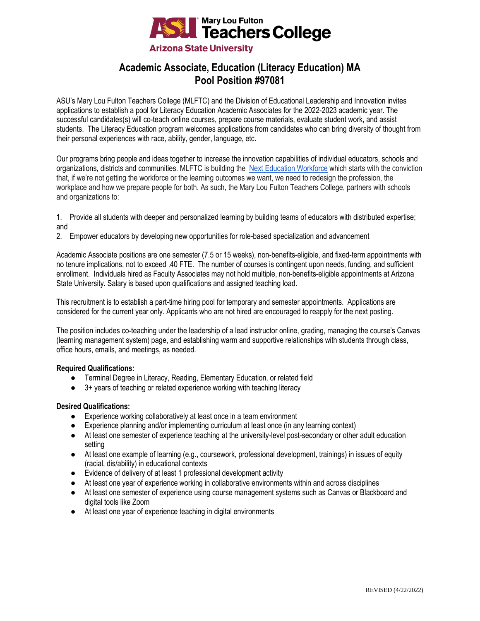

# **Academic Associate, Education (Literacy Education) MA Pool Position #97081**

ASU's Mary Lou Fulton Teachers College (MLFTC) and the Division of Educational Leadership and Innovation invites applications to establish a pool for Literacy Education Academic Associates for the 2022-2023 academic year. The successful candidates(s) will co-teach online courses, prepare course materials, evaluate student work, and assist students. The Literacy Education program welcomes applications from candidates who can bring diversity of thought from their personal experiences with race, ability, gender, language, etc.

Our programs bring people and ideas together to increase the innovation capabilities of individual educators, schools and organizations, districts and communities. MLFTC is building the [Next Education Workforce](https://workforce.education.asu.edu/?utm_source=mlftc&utm_medium=redirect&utm_campaign=top_nav) which starts with the conviction that, if we're not getting the workforce or the learning outcomes we want, we need to redesign the profession, the workplace and how we prepare people for both. As such, the Mary Lou Fulton Teachers College, partners with schools and organizations to:

1. Provide all students with deeper and personalized learning by building teams of educators with distributed expertise; and

2. Empower educators by developing new opportunities for role-based specialization and advancement

Academic Associate positions are one semester (7.5 or 15 weeks), non-benefits-eligible, and fixed-term appointments with no tenure implications, not to exceed .40 FTE. The number of courses is contingent upon needs, funding, and sufficient enrollment. Individuals hired as Faculty Associates may not hold multiple, non-benefits-eligible appointments at Arizona State University. Salary is based upon qualifications and assigned teaching load.

This recruitment is to establish a part-time hiring pool for temporary and semester appointments. Applications are considered for the current year only. Applicants who are not hired are encouraged to reapply for the next posting.

The position includes co-teaching under the leadership of a lead instructor online, grading, managing the course's Canvas (learning management system) page, and establishing warm and supportive relationships with students through class, office hours, emails, and meetings, as needed.

## **Required Qualifications:**

- Terminal Degree in Literacy, Reading, Elementary Education, or related field
- 3+ years of teaching or related experience working with teaching literacy

## **Desired Qualifications:**

- Experience working collaboratively at least once in a team environment
- Experience planning and/or implementing curriculum at least once (in any learning context)
- At least one semester of experience teaching at the university-level post-secondary or other adult education setting
- At least one example of learning (e.g., coursework, professional development, trainings) in issues of equity (racial, dis/ability) in educational contexts
- Evidence of delivery of at least 1 professional development activity
- At least one year of experience working in collaborative environments within and across disciplines
- At least one semester of experience using course management systems such as Canvas or Blackboard and digital tools like Zoom
- At least one year of experience teaching in digital environments